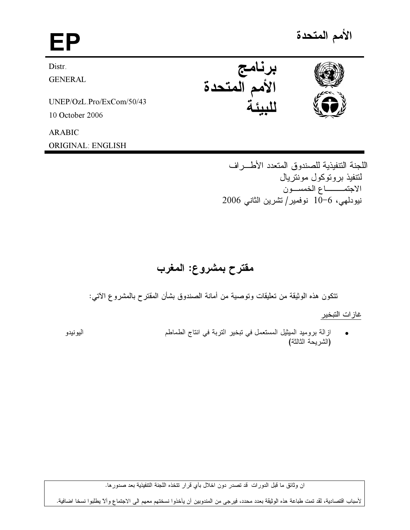# EP برنامج<br>الأمم المتحدة Distr. **GENERAL** UNEP/OzL.Pro/ExCom/50/43 10 October 2006 **ARABIC**

اللجنة التنفيذية للصندوق المتعدد الأطـــر اف لنتفيذ بر و توكول مونتر بال الاجتمــــاع الخمســون نيودلمي، 6−10 نوفمير/تشرين الثاني 2006

# مقترح بمشروع: المغرب

نتكون هذه الوثيقة من تعليقات ونوصية من أمانة الصندوق بشأن المقترح بالمشروع الآتي:

غاز ات التبخير

ازالة بروميد الميثيل المستعمل في تبخير التربة في انتاج الطماطم اليونيدو (الشريحة الثالثة)

ان وثائق ما قبل الدورات قد تصدر دون اخلال بأي قرار تتخذه اللجنة التنفيذية بعد صدورها.

لأسباب اقتصادية، لقد تمت طباعة هذه الوثيقة بعدد محدد، فيرجى من المندوبين أن يأخذوا نسختهم معهم الى الاجتماع وألآ يطلبوا نسخا اضافية.



الأمم المتحدة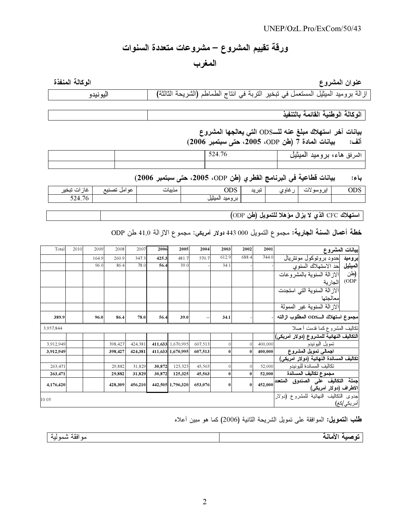# ورقة تقييم المشروع – مشروعات متعددة السنوات

المغرب

اله كالة المنفذة

و ع المستخدمات المستخدمات المستخدمات المستخدمات المستخدمات المستخدمات المستخدمات المستخدمات المستخدمات المستخد<br>المستخدمات عنوان المشر

اليونيدو ازالة بروميد الميثيل المستعمل في تبخير التربة في انتاج الطماطم (الشريحة الثالثة) اليونيا

الوكالة الوطنية القائمة بالتنفيذ

بيانات أخر استهلاك مبلغ عنه للـــODS التي يعالجها المشروع (2006 (\* '2005 'ODP &) 7 % :#\$

|  | 524.70 | االممر فق<br>هاء، بروميد المينيل |
|--|--------|----------------------------------|
|  |        |                                  |

باء: بيانات قطاعية في البرنامج الفطر ي (طن ODP، 2005، حتى سبتمبر 2006)

| $\cdots$<br>نىچى               | عه اما | — — | $\sim$ $\sim$ $\sim$<br>ルレ | ند د<br>. . | استاه ۲۰۰ | ایز ر | UDS |
|--------------------------------|--------|-----|----------------------------|-------------|-----------|-------|-----|
| $ -$<br>- -<br>/h<br>$22 - 10$ |        |     | .                          |             |           |       |     |

استهلاك CFC الذي لا يزال مؤهلا للتمويل (طن ODP)

خطة أعمال السنة الجارية: مجموع التمويل 000 443 دولار أمريكي: مجموع الازالة 41,0 طن ODP

| Total     | 2010 | 2009  | 2008    | 2007    | 2006   | 2005              | 2004    | 2003         | 2002         | 2001    | بيانات المشروع                                              |                       |
|-----------|------|-------|---------|---------|--------|-------------------|---------|--------------|--------------|---------|-------------------------------------------------------------|-----------------------|
|           |      | 164.9 | 260.9   | 347.3   | 425.3  | 481.7             | 570.7   | 612.9        | 688.4        | 744.0   | بروميد  حدود بروتوكول مونتريال                              |                       |
|           |      | 96.0  | 86.4    | 78.0    | 56.4   | 39.0              |         | 34.1         |              |         | الميثيل حد الاستهلاك السنوى                                 |                       |
|           |      |       |         |         |        |                   |         |              |              |         | الاز الة السنوية بالمشر و عات                               | (طن                   |
|           |      |       |         |         |        |                   |         |              |              |         | الجارية                                                     | (ODP)                 |
|           |      |       |         |         |        |                   |         |              |              |         | الاز الة السنوية التي استجدت                                |                       |
|           |      |       |         |         |        |                   |         |              |              |         | معالجتها                                                    |                       |
|           |      |       |         |         |        |                   |         |              |              |         | الآز الة السنوية غير الممولة                                |                       |
| 389.9     |      | 96.0  | 86.4    | 78.0    | 56.4   | 39.0              |         | 34.1         |              |         | مجموع استهلاك الــODS المطلوب ازالته                        |                       |
| 3,957,844 |      |       |         |         |        |                   |         |              |              |         | نكاليف المشروع كما قدمت أصلا                                |                       |
|           |      |       |         |         |        |                   |         |              |              |         | التكاليف النهائية للمشروع (دولار أمريكي)                    |                       |
| 3,912,949 |      |       | 398,427 | 424,381 |        | 411,633 1,670,995 | 607,513 | $\mathbf{0}$ |              | 400,000 | نمويل اليونيدو                                              |                       |
| 3,912,949 |      |       | 398,427 | 424,381 |        | 411,633 1,670,995 | 607,513 | $\bf{0}$     | $\bf{0}$     | 400,000 | اجمالي تمويل المشروع                                        |                       |
|           |      |       |         |         |        |                   |         |              |              |         | تكاليف المساندة النهائية (دولار أمريكي)                     |                       |
| 263,471   |      |       | 29,882  | 31,829  | 30,872 | 125,325           | 45,563  | $\mathbf{0}$ | $\mathbf{0}$ | 52,000  | تكاليف المساندة لليونيدو                                    |                       |
| 263,471   |      |       | 29,882  | 31,829  | 30,872 | 125,325           | 45,563  | $\bf{0}$     | $\bf{0}$     | 52,000  | مجموع تكاليف المساندة                                       |                       |
| 4,176,420 |      |       | 428,309 | 456,210 |        | 442,505 1,796,320 | 653,076 | $\bf{0}$     | $\bf{0}$     | 452,000 | جملة التكاليف على الصندوق المتعدد<br>الأطراف (دولار أمريكي) |                       |
| 10.03     |      |       |         |         |        |                   |         |              |              |         | جدوى التكاليف النهائية للمشروع (دولار                       |                       |
|           |      |       |         |         |        |                   |         |              |              |         |                                                             | أمر يك <i>ي  ك</i> غ) |

طلب النصويل: الموافقة على نمويل الشريحة الثانية (2006) كما هو مبين أعلاه

| - 49<br>$\mathbf{r}$<br>افقه<br>سمو نبه<br>مه<br>- | . .<br>---- |
|----------------------------------------------------|-------------|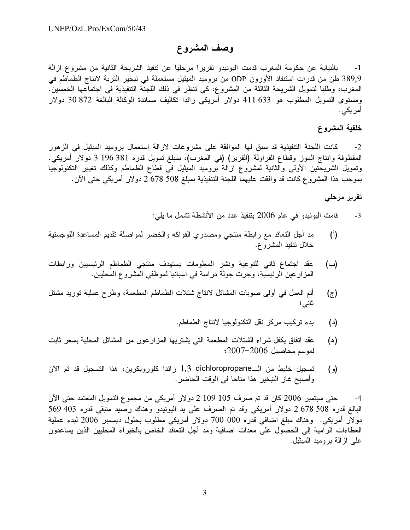## وصف المشروع

بالنيابة عن حكومة المغرب قدمت اليونيدو تقريرا مرحليا عن تنفيذ الشريحة الثانية من مشروع ازالة  $-1$ 389٫9 طن من قدرات استنفاد الأوزون ODP من بروميد الميثيل مستعملة في تبخير التربة لانتاج الطماطم في المغرب، وطلبا لتمويل الشريحة الثالثة من المشروع، كي تنظر في ذلك اللجنة التنفيذية في اجتماعها الخمسين. ومستوى التمويل المطلوب هو 633 411 دولار أمريكي زائدا تكاليف مساندة الوكالة البالغة 872 30 دولار أمريكى.

#### خلفية المشروع

كانت اللجنة التنفيذية قد سبق لمها الموافقة على مشروعات لازالة استعمال بروميد الميثيل في الزهور  $-2$ المقطوفة وانتاج الموز وقطاع الفراولة (الفريز) (في المغرب)، بمبلغ تمويل قدره 381 196 3 دولار أمريكي. ونمويل الشريحتين الأولى والثانية لمشروع ازالة بروميد الميثيل في قطاع الطماطم وكذلك تغيير التكنولوجيا بموجب هذا المشروع كانت قد وافقت عليهما اللجنة التنفيذية بمبلغ 508 508 دولار أمريكي حتى الآن.

#### تقرير مرحلي

- قامت اليونيدو في عام 2006 بتنفيذ عدد من الأنشطة تشمل ما يلي:  $-3$
- $(1)$ مد أجل التعاقد مع رابطة منتجي ومصدري الفواكه والخضر لمواصلة تقديع المساعدة اللوجستية خلال نتفيذ المشروع.
- عقد اجتماع ثاني للتوعية ونشر المعلومات يستهدف منتجى الطماطم الرئيسيين ورابطات  $(\rightarrow)$ المزار عين الرئيسية، وجرت جولة دراسة في اسبانيا لموظفي المشروع المحليين.
- أتم العمل في أولى صوبات المشاتل لانتاج شتلات الطماطم المطعمة، وطرح عملية توريد مشتل (ج)
	- بدء تركيب مركز نقل التكنولوجيا لانتاج الطماطم.  $(\iota)$
- عقد اتفاق يكفل شراء الشتلات المطعمة التي يشتريها المزارعون من المشاتل المحلية بسعر ثابت (ه) لموسم محاصيل 2006-2007؛
- تسجيل خليط من الــ1,3 dichloropropane زائدا كلوروبكرين، هذا التسجيل قد تم الآن  $\epsilon$ وأصبح غاز التبخير هذا متاحا في الوقت الحاضر .

حتى سبتمبر 2006 كان قد تم صرف 105 109 2 دولار أمريكي من مجموع التمويل المعتمد حتى الآن  $-4$ البالغ قدره 508 578 دولار أمريكي وقد تم الصرف على يد اليونيدو وهناك رصيد متبقى قدره 403 569 دولار أمريكي. وهناك مبلغ اضافي قدره 000 700 دولار أمريكي مطلوب بحلول ديسمبر 2006 لبدء عملية العطاءات الرامية إلىي الحصول على معدات اضافية ومد أجل التعاقد الخاص بالخبراء المحليين الذين يساعدون على از الـة بروميد الميثيل.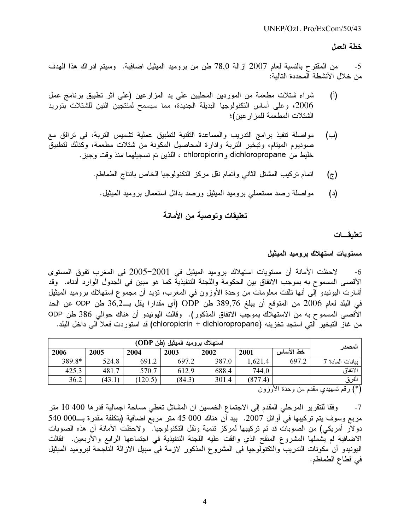#### خطة العمل

من المقترح بالنسبة لعام 2007 ازالة 78٫0 طن من بروميد الميثيل اضافية. وسيتم ادراك هذا الهدف -5 من خلال الأنشطة المحددة التالبة:

- شراء شتلات مطعمة من الموردين المحليين على يد المزارعين (على اثر تطبيق برنامج عمل  $(\mathfrak{h})$ 2006، وعلى أساس التكنولوجيا البديلة الجديدة، مما سيسمح لمنتجين اثنين للشتلات بتوريد الشتلات المطعمة للمز ار عين)؛
- مواصلة تنفيذ برامج التدريب والمساعدة التقنية لتطبيق عملية تشميس التربة، في ترافق مع  $(\rightarrow)$ صوديوم الميتام، وتبخير التربة وادارة المحاصيل المكونة من شتلات مطعمة، وكذلك لتطبيق خليط من dichloropropane و chloropicrin ، اللذين تم تسجيلهما منذ وقت وجيز .
	- اتمام تركيب المشتل الثانبي واتمام نقل مركز التكنولوجيا الخاص بانتاج الطماطم. (ج)
		- مواصلة رصد مستعملي بروميد الميثيل ورصد بدائل استعمال بروميد الميثيل.  $(\iota)$

## تعليقات وتوصية من الأمانة

تعليقسات

مستويات استهلاك بروميد الميثيل

لاحظت الأمانة أن مستويات استهلاك بروميد الميثيل في 2001-2005 في المغرب تفوق المستوى  $-6$ الأقصـى المسموح به بموجب الاتفاق بين الحكومة واللجنة التنفيذية كما هو مبين في الجدول الوارد أدناه. وقد أشارت اليونيدو إلى أنها تلقت معلومات من وحدة الأوزون في المغرب، تؤيد أن مجموع استهلاك بروميد الميثيل في البلد لعام 2006 من المتوقع أن يبلغ 389,76 طن ODP (أي مقدارا يقل بــ36,2 طن ODP عن الحد الأقصبي المسموح به من الاستهلاك بموجب الاتفاق المذكور). وقالت اليونيدو أن هناك حوالي 386 طن ODP من غاز التبخير التي استجد تخزينه (chloropicrin + dichloropropane) قد استوردت فعلا الي داخل البلد.

| المصدر                         | استهلاك بروميد الميثيل (طن ODP) |         |       |        |        |        |        |  |
|--------------------------------|---------------------------------|---------|-------|--------|--------|--------|--------|--|
|                                | خط الأساس                       | 2001    | 2002  | 2003   | 2004   | 2005   | 2006   |  |
| ببانات المادة 7                | 697.2                           | 1,621.4 | 387.0 | 697.2  | 691.2  | 524.8  | 389.8* |  |
| الاتفاق                        |                                 | 744.0   | 688.4 | 612.9  | 570.7  | 481.7  | 425.3  |  |
| الفرق                          |                                 | (877.4) | 301.4 | (84.3) | 120.5) | (43.1) | 36.2   |  |
| لأنطاب مسابر<br>$\overline{ }$ |                                 |         |       |        |        |        |        |  |

(\*) رقم تمهيدي مقدم من وحدة الأوزون

وفقا للنقرير المرحلي المقدم إلى الاجتماع الخمسين ان المشاتل تغطي مساحة اجمالية قدرها 400 10 متر  $-7$ مربع وسوف يتم تركيبها في أوائل 2007. بيد أن هناك 000 45 متر مربع اضافية (بتكلفة مقدرة بــ000 540 دولار أمريكي) من الصوبات قد تم تركيبها لمركز تنمية ونقل التكنولوجيا. ولاحظت الأمانة أن هذه الصوبات الاضافية لم يشملها المشروع المنقح الذي وافقت عليه اللجنة التنفيذية في اجتماعها الرابع والأربعين. فقالت اليونيدو أن مكونات التدريب والتكنولوجيا في المشروع المذكور لازمة في سبيل الازالة الناجحة لبروميد الميثيل في قطاع الطماطم.